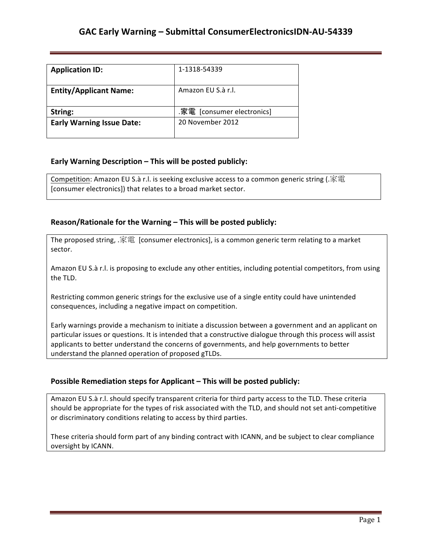| <b>Application ID:</b>           | 1-1318-54339               |
|----------------------------------|----------------------------|
| <b>Entity/Applicant Name:</b>    | Amazon FU S.à r.l.         |
| String:                          | .家電 [consumer electronics] |
| <b>Early Warning Issue Date:</b> | 20 November 2012           |

## **Early Warning Description – This will be posted publicly:**

Competition: Amazon EU S.à r.l. is seeking exclusive access to a common generic string (.家電 [consumer electronics]) that relates to a broad market sector.

### **Reason/Rationale for the Warning – This will be posted publicly:**

The proposed string,  $\mathcal{F}^{\text{max}}$  [consumer electronics], is a common generic term relating to a market sector.

Amazon EU S.à r.l. is proposing to exclude any other entities, including potential competitors, from using the TLD.

Restricting common generic strings for the exclusive use of a single entity could have unintended consequences, including a negative impact on competition.

Early warnings provide a mechanism to initiate a discussion between a government and an applicant on particular issues or questions. It is intended that a constructive dialogue through this process will assist applicants to better understand the concerns of governments, and help governments to better understand the planned operation of proposed gTLDs.

#### **Possible Remediation steps for Applicant – This will be posted publicly:**

Amazon EU S.à r.l. should specify transparent criteria for third party access to the TLD. These criteria should be appropriate for the types of risk associated with the TLD, and should not set anti-competitive or discriminatory conditions relating to access by third parties.

These criteria should form part of any binding contract with ICANN, and be subject to clear compliance oversight by ICANN.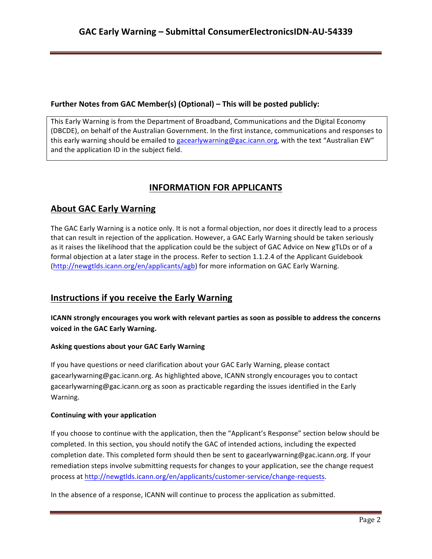## **Further Notes from GAC Member(s) (Optional) – This will be posted publicly:**

This Early Warning is from the Department of Broadband, Communications and the Digital Economy (DBCDE), on behalf of the Australian Government. In the first instance, communications and responses to this early warning should be emailed to gacearlywarning@gac.icann.org, with the text "Australian EW" and the application ID in the subject field.

# **INFORMATION FOR APPLICANTS**

# **About GAC Early Warning**

The GAC Early Warning is a notice only. It is not a formal objection, nor does it directly lead to a process that can result in rejection of the application. However, a GAC Early Warning should be taken seriously as it raises the likelihood that the application could be the subject of GAC Advice on New gTLDs or of a formal objection at a later stage in the process. Refer to section 1.1.2.4 of the Applicant Guidebook (http://newgtlds.icann.org/en/applicants/agb) for more information on GAC Early Warning.

# **Instructions if you receive the Early Warning**

**ICANN** strongly encourages you work with relevant parties as soon as possible to address the concerns **voiced in the GAC Early Warning.** 

#### **Asking questions about your GAC Early Warning**

If you have questions or need clarification about your GAC Early Warning, please contact gacearlywarning@gac.icann.org. As highlighted above, ICANN strongly encourages you to contact gacearlywarning@gac.icann.org as soon as practicable regarding the issues identified in the Early Warning. 

#### **Continuing with your application**

If you choose to continue with the application, then the "Applicant's Response" section below should be completed. In this section, you should notify the GAC of intended actions, including the expected completion date. This completed form should then be sent to gacearlywarning@gac.icann.org. If your remediation steps involve submitting requests for changes to your application, see the change request process at http://newgtlds.icann.org/en/applicants/customer-service/change-requests.

In the absence of a response, ICANN will continue to process the application as submitted.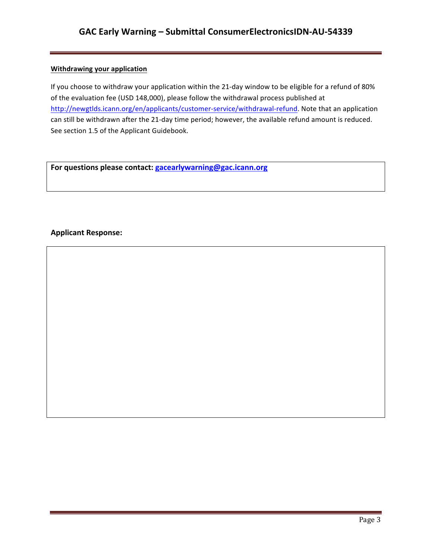## **Withdrawing your application**

If you choose to withdraw your application within the 21-day window to be eligible for a refund of 80% of the evaluation fee (USD 148,000), please follow the withdrawal process published at http://newgtlds.icann.org/en/applicants/customer-service/withdrawal-refund. Note that an application can still be withdrawn after the 21-day time period; however, the available refund amount is reduced. See section 1.5 of the Applicant Guidebook.

For questions please contact: gacearlywarning@gac.icann.org

### **Applicant Response:**